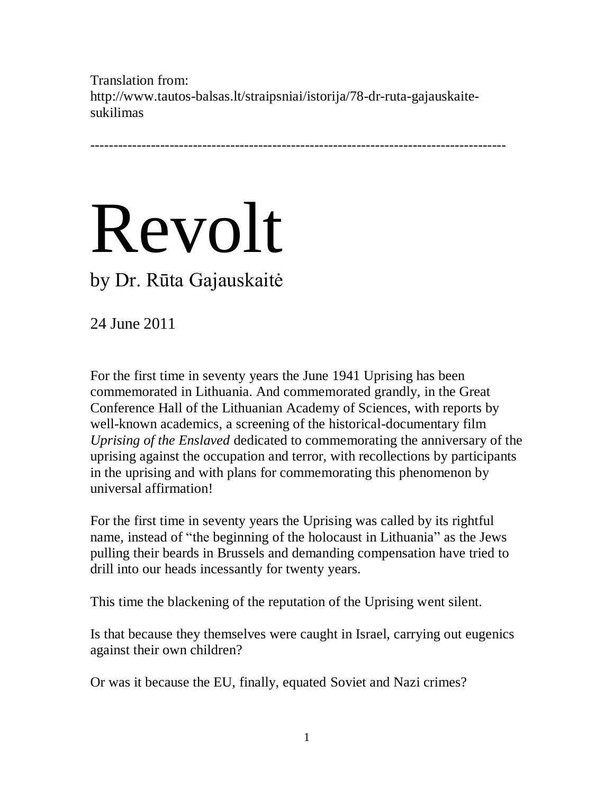Translation from: http://www.tautos-balsas.lt/straipsniai/istorija/78-dr-ruta-gajauskaitesukilimas

-----------------------------------------------------------------------------------------

## Revolt

## by Dr. Rūta Gajauskaitė

24 June 2011

For the first time in seventy years the June 1941 Uprising has been commemorated in Lithuania. And commemorated grandly, in the Great Conference Hall of the Lithuanian Academy of Sciences, with reports by well-known academics, a screening of the historical-documentary film *Uprising of the Enslaved* dedicated to commemorating the anniversary of the uprising against the occupation and terror, with recollections by participants in the uprising and with plans for commemorating this phenomenon by universal affirmation!

For the first time in seventy years the Uprising was called by its rightful name, instead of "the beginning of the holocaust in Lithuania" as the Jews pulling their beards in Brussels and demanding compensation have tried to drill into our heads incessantly for twenty years.

This time the blackening of the reputation of the Uprising went silent.

Is that because they themselves were caught in Israel, carrying out eugenics against their own children?

Or was it because the EU, finally, equated Soviet and Nazi crimes?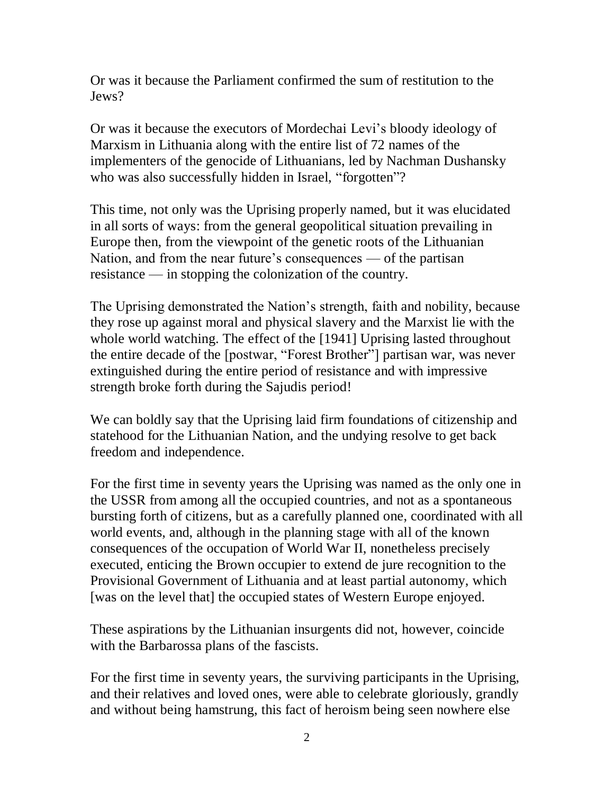Or was it because the Parliament confirmed the sum of restitution to the Jews?

Or was it because the executors of Mordechai Levi's bloody ideology of Marxism in Lithuania along with the entire list of 72 names of the implementers of the genocide of Lithuanians, led by Nachman Dushansky who was also successfully hidden in Israel, "forgotten"?

This time, not only was the Uprising properly named, but it was elucidated in all sorts of ways: from the general geopolitical situation prevailing in Europe then, from the viewpoint of the genetic roots of the Lithuanian Nation, and from the near future's consequences — of the partisan resistance — in stopping the colonization of the country.

The Uprising demonstrated the Nation's strength, faith and nobility, because they rose up against moral and physical slavery and the Marxist lie with the whole world watching. The effect of the [1941] Uprising lasted throughout the entire decade of the [postwar, "Forest Brother"] partisan war, was never extinguished during the entire period of resistance and with impressive strength broke forth during the Sajudis period!

We can boldly say that the Uprising laid firm foundations of citizenship and statehood for the Lithuanian Nation, and the undying resolve to get back freedom and independence.

For the first time in seventy years the Uprising was named as the only one in the USSR from among all the occupied countries, and not as a spontaneous bursting forth of citizens, but as a carefully planned one, coordinated with all world events, and, although in the planning stage with all of the known consequences of the occupation of World War II, nonetheless precisely executed, enticing the Brown occupier to extend de jure recognition to the Provisional Government of Lithuania and at least partial autonomy, which [was on the level that] the occupied states of Western Europe enjoyed.

These aspirations by the Lithuanian insurgents did not, however, coincide with the Barbarossa plans of the fascists.

For the first time in seventy years, the surviving participants in the Uprising, and their relatives and loved ones, were able to celebrate gloriously, grandly and without being hamstrung, this fact of heroism being seen nowhere else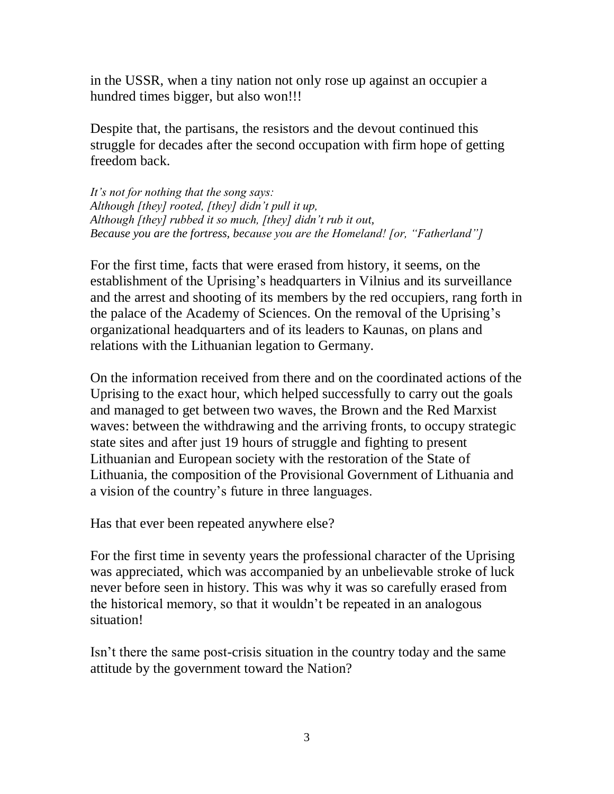in the USSR, when a tiny nation not only rose up against an occupier a hundred times bigger, but also won!!!

Despite that, the partisans, the resistors and the devout continued this struggle for decades after the second occupation with firm hope of getting freedom back.

*It's not for nothing that the song says: Although [they] rooted, [they] didn't pull it up, Although [they] rubbed it so much, [they] didn't rub it out, Because you are the fortress, because you are the Homeland! [or, "Fatherland"]*

For the first time, facts that were erased from history, it seems, on the establishment of the Uprising's headquarters in Vilnius and its surveillance and the arrest and shooting of its members by the red occupiers, rang forth in the palace of the Academy of Sciences. On the removal of the Uprising's organizational headquarters and of its leaders to Kaunas, on plans and relations with the Lithuanian legation to Germany.

On the information received from there and on the coordinated actions of the Uprising to the exact hour, which helped successfully to carry out the goals and managed to get between two waves, the Brown and the Red Marxist waves: between the withdrawing and the arriving fronts, to occupy strategic state sites and after just 19 hours of struggle and fighting to present Lithuanian and European society with the restoration of the State of Lithuania, the composition of the Provisional Government of Lithuania and a vision of the country's future in three languages.

Has that ever been repeated anywhere else?

For the first time in seventy years the professional character of the Uprising was appreciated, which was accompanied by an unbelievable stroke of luck never before seen in history. This was why it was so carefully erased from the historical memory, so that it wouldn't be repeated in an analogous situation!

Isn't there the same post-crisis situation in the country today and the same attitude by the government toward the Nation?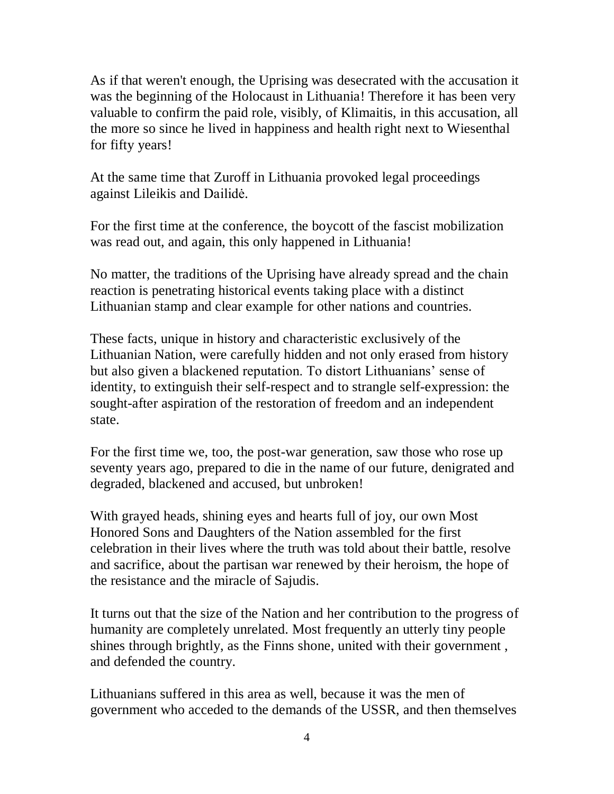As if that weren't enough, the Uprising was desecrated with the accusation it was the beginning of the Holocaust in Lithuania! Therefore it has been very valuable to confirm the paid role, visibly, of Klimaitis, in this accusation, all the more so since he lived in happiness and health right next to Wiesenthal for fifty years!

At the same time that Zuroff in Lithuania provoked legal proceedings against Lileikis and Dailidė.

For the first time at the conference, the boycott of the fascist mobilization was read out, and again, this only happened in Lithuania!

No matter, the traditions of the Uprising have already spread and the chain reaction is penetrating historical events taking place with a distinct Lithuanian stamp and clear example for other nations and countries.

These facts, unique in history and characteristic exclusively of the Lithuanian Nation, were carefully hidden and not only erased from history but also given a blackened reputation. To distort Lithuanians' sense of identity, to extinguish their self-respect and to strangle self-expression: the sought-after aspiration of the restoration of freedom and an independent state.

For the first time we, too, the post-war generation, saw those who rose up seventy years ago, prepared to die in the name of our future, denigrated and degraded, blackened and accused, but unbroken!

With grayed heads, shining eyes and hearts full of joy, our own Most Honored Sons and Daughters of the Nation assembled for the first celebration in their lives where the truth was told about their battle, resolve and sacrifice, about the partisan war renewed by their heroism, the hope of the resistance and the miracle of Sajudis.

It turns out that the size of the Nation and her contribution to the progress of humanity are completely unrelated. Most frequently an utterly tiny people shines through brightly, as the Finns shone, united with their government , and defended the country.

Lithuanians suffered in this area as well, because it was the men of government who acceded to the demands of the USSR, and then themselves